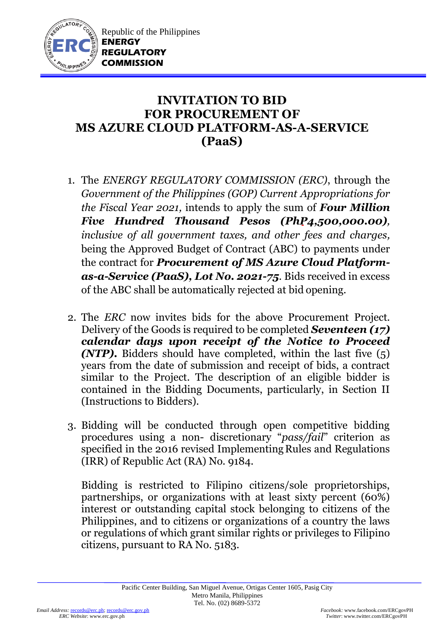

## **INVITATION TO BID FOR PROCUREMENT OF MS AZURE CLOUD PLATFORM-AS-A-SERVICE (PaaS)**

- 1. The *ENERGY REGULATORY COMMISSION (ERC)*, through the *Government of the Philippines (GOP) Current Appropriations for the Fiscal Year 2021,* intends to apply the sum of *Four Million Five Hundred Thousand Pesos (PhP4,500,000.00), inclusive of all government taxes, and other fees and charges,* being the Approved Budget of Contract (ABC) to payments under the contract for *Procurement of MS Azure Cloud Platformas-a-Service (PaaS), Lot No. 2021-75.* Bids received in excess of the ABC shall be automatically rejected at bid opening.
- 2. The *ERC* now invites bids for the above Procurement Project. Delivery of the Goods is required to be completed *Seventeen (17) calendar days upon receipt of the Notice to Proceed (NTP).* Bidders should have completed, within the last five (5) years from the date of submission and receipt of bids, a contract similar to the Project. The description of an eligible bidder is contained in the Bidding Documents, particularly, in Section II (Instructions to Bidders).
- 3. Bidding will be conducted through open competitive bidding procedures using a non- discretionary "*pass/fail*" criterion as specified in the 2016 revised Implementing Rules and Regulations (IRR) of Republic Act (RA) No. 9184.

Bidding is restricted to Filipino citizens/sole proprietorships, partnerships, or organizations with at least sixty percent (60%) interest or outstanding capital stock belonging to citizens of the Philippines, and to citizens or organizations of a country the laws or regulations of which grant similar rights or privileges to Filipino citizens, pursuant to RA No. 5183.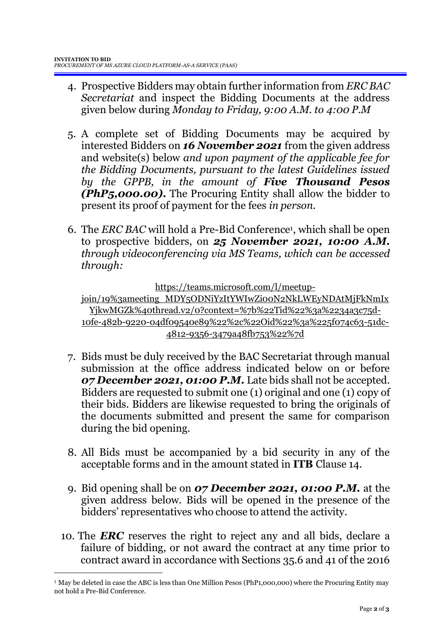- 4. Prospective Bidders may obtain further information from *ERC BAC Secretariat* and inspect the Bidding Documents at the address given below during *Monday to Friday, 9:00 A.M. to 4:00 P.M*
- 5. A complete set of Bidding Documents may be acquired by interested Bidders on *16 November 2021* from the given address and website(s) below *and upon payment of the applicable fee for the Bidding Documents, pursuant to the latest Guidelines issued by the GPPB, in the amount of Five Thousand Pesos (PhP5,000.00)***.** The Procuring Entity shall allow the bidder to present its proof of payment for the fees *in person.*
- 6. The *ERC BAC* will hold a Pre-Bid Conference<sup>1</sup> , which shall be open to prospective bidders, on *25 November 2021, 10:00 A.M. through videoconferencing via MS Teams, which can be accessed through:*

https://teams.microsoft.com/l/meetup-

join/19%3ameeting\_MDY5ODNiYzItYWIwZi00N2NkLWEyNDAtMjFkNmIx YjkwMGZk%40thread.v2/0?context=%7b%22Tid%22%3a%2234a3c75d-10fe-482b-9220-04df09540e89%22%2c%22Oid%22%3a%225f074c63-51dc-4812-9356-3479a48fb753%22%7d

- 7. Bids must be duly received by the BAC Secretariat through manual submission at the office address indicated below on or before *07 December 2021, 01:00 P.M.* Late bids shall not be accepted. Bidders are requested to submit one (1) original and one (1) copy of their bids. Bidders are likewise requested to bring the originals of the documents submitted and present the same for comparison during the bid opening.
- 8. All Bids must be accompanied by a bid security in any of the acceptable forms and in the amount stated in **ITB** Clause 14.
- 9. Bid opening shall be on *07 December 2021, 01:00 P.M.* at the given address below. Bids will be opened in the presence of the bidders' representatives who choose to attend the activity.
- 10. The *ERC* reserves the right to reject any and all bids, declare a failure of bidding, or not award the contract at any time prior to contract award in accordance with Sections 35.6 and 41 of the 2016

1

<sup>&</sup>lt;sup>1</sup> May be deleted in case the ABC is less than One Million Pesos (PhP1,000,000) where the Procuring Entity may not hold a Pre-Bid Conference.